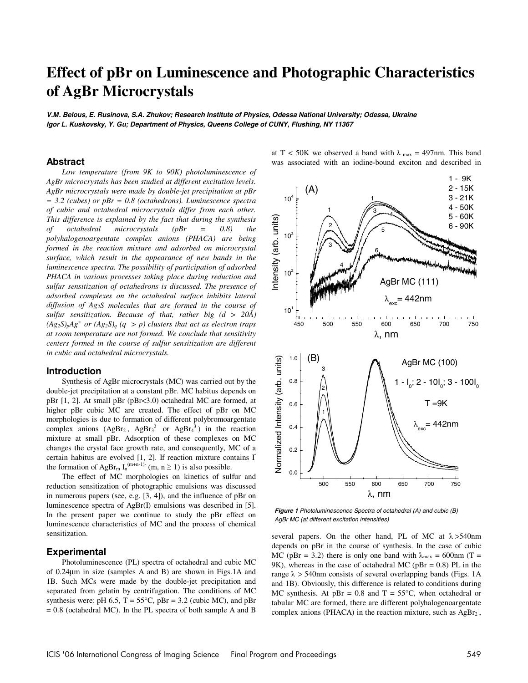# **Effect of pBr on Luminescence and Photographic Characteristics of AgBr Microcrystals**

*V.M. Belous, E. Rusinova, S.A. Zhukov; Research Institute of Physics, Odessa National University; Odessa, Ukraine Igor L. Kuskovsky, Y. Gu; Department of Physics, Queens College of CUNY, Flushing, NY 11367* 

### **Abstract**

*Low temperature (from 9K to 90K) photoluminescence of AgBr microcrystals has been studied at different excitation levels. AgBr microcrystals were made by double-jet precipitation at pBr = 3.2 (cubes) or pBr = 0.8 (octahedrons). Luminescence spectra of cubic and octahedral microcrystals differ from each other. This difference is explained by the fact that during the synthesis of octahedral microcrystals (pBr = 0.8) the polyhalogenoargentate complex anions (PHACA) are being formed in the reaction mixture and adsorbed on microcrystal surface, which result in the appearance of new bands in the luminescence spectra. The possibility of participation of adsorbed PHACA in various processes taking place during reduction and sulfur sensitization of octahedrons is discussed. The presence of adsorbed complexes on the octahedral surface inhibits lateral diffusion of Ag2S molecules that are formed in the course of sulfur sensitization. Because of that, rather big (d > 20Å)*   $(Ag_2S)_pAg^+$  or  $(Ag_2S)_q$   $(q > p)$  clusters that act as electron traps *at room temperature are not formed. We conclude that sensitivity centers formed in the course of sulfur sensitization are different in cubic and octahedral microcrystals.* 

#### **Introduction**

Synthesis of AgBr microcrystals (MC) was carried out by the double-jet precipitation at a constant pBr. MC habitus depends on pBr [1, 2]. At small pBr (pBr<3.0) octahedral MC are formed, at higher pBr cubic MC are created. The effect of pBr on MC morphologies is due to formation of different polybromoargentate complex anions  $(AgBr<sub>2</sub>, AgBr<sub>3</sub><sup>2</sup>$  or  $AgBr<sub>4</sub><sup>3</sup>$  in the reaction mixture at small pBr. Adsorption of these complexes on MC changes the crystal face growth rate, and consequently, MC of a certain habitus are evolved [1, 2]. If reaction mixture contains Ithe formation of AgBr<sub>m</sub>  $I_n^{(m+n-1)}$  (m, n 
ightarrow 1) is also possible.<br>
The effect of MC morphologies on kinatics of sulf

The effect of MC morphologies on kinetics of sulfur and reduction sensitization of photographic emulsions was discussed in numerous papers (see, e.g. [3, 4]), and the influence of pBr on luminescence spectra of AgBr(I) emulsions was described in [5]. In the present paper we continue to study the pBr effect on luminescence characteristics of MC and the process of chemical sensitization.

#### **Experimental**

Photoluminescence (PL) spectra of octahedral and cubic MC of 0.24µm in size (samples A and B) are shown in Figs.1A and 1B. Such MCs were made by the double-jet precipitation and separated from gelatin by centrifugation. The conditions of MC synthesis were: pH 6.5,  $T = 55^{\circ}C$ , pBr = 3.2 (cubic MC), and pBr  $= 0.8$  (octahedral MC). In the PL spectra of both sample A and B at T < 50K we observed a band with  $\lambda_{\text{max}} = 497 \text{nm}$ . This band was associated with an iodine-bound exciton and described in



*Figure 1 Photoluminescence Spectra of octahedral (A) and cubic (B) AgBr MC (at different excitation intensities)* 

several papers. On the other hand, PL of MC at  $\lambda > 540$ nm depends on pBr in the course of synthesis. In the case of cubic MC (pBr = 3.2) there is only one band with  $\lambda_{\text{max}} = 600 \text{nm}$  (T = 9K), whereas in the case of octahedral MC ( $pBr = 0.8$ ) PL in the range  $\lambda$  > 540nm consists of several overlapping bands (Figs. 1A and 1B). Obviously, this difference is related to conditions during MC synthesis. At  $pBr = 0.8$  and  $T = 55^{\circ}C$ , when octahedral or tabular MC are formed, there are different polyhalogenoargentate complex anions (PHACA) in the reaction mixture, such as AgBr<sub>2</sub>,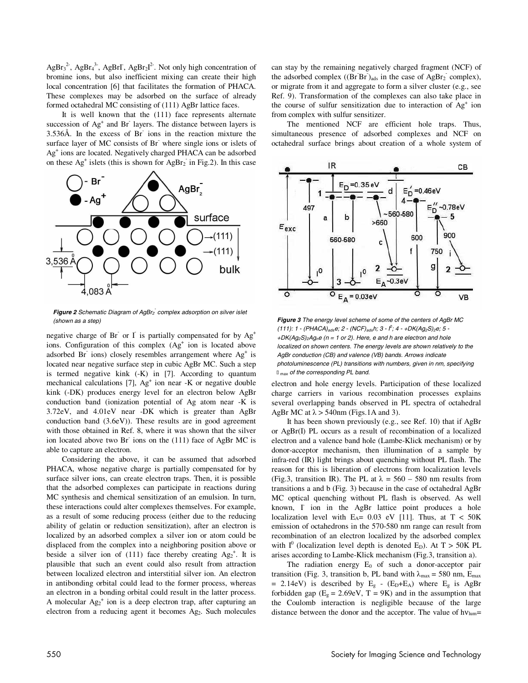$AgBr<sub>3</sub><sup>2</sup>$ , AgBr<sub>4</sub><sup>3</sup>, AgBrI, AgBr<sub>2</sub>I<sup>2</sup>. Not only high concentration of bromine ions, but also inefficient mixing can create their high local concentration [6] that facilitates the formation of PHACA. These complexes may be adsorbed on the surface of already formed octahedral MC consisting of (111) AgBr lattice faces.

It is well known that the (111) face represents alternate succession of Ag<sup>+</sup> and Br<sup>-</sup> layers. The distance between layers is 3.536Å. In the excess of Br ions in the reaction mixture the surface layer of MC consists of Br where single ions or islets of Ag+ ions are located. Negatively charged PHACA can be adsorbed on these  $Ag<sup>+</sup>$  islets (this is shown for  $AgBr<sub>2</sub>$  in Fig.2). In this case



Figure 2 Schematic Diagram of AgBr<sub>2</sub> complex adsorption on silver islet *(shown as a step)* 

negative charge of Br or I is partially compensated for by  $Ag^+$ ions. Configuration of this complex (Ag<sup>+</sup> ion is located above adsorbed Br ions) closely resembles arrangement where  $Ag<sup>+</sup>$  is located near negative surface step in cubic AgBr MC. Such a step is termed negative kink (-K) in [7]. According to quantum mechanical calculations [7], Ag<sup>+</sup> ion near -K or negative double kink (-DK) produces energy level for an electron below AgBr conduction band (ionization potential of Ag atom near -K is 3.72eV, and 4.01eV near -DK which is greater than AgBr conduction band (3.6eV)). These results are in good agreement with those obtained in Ref. 8, where it was shown that the silver ion located above two Br ions on the (111) face of AgBr MC is able to capture an electron.

Considering the above, it can be assumed that adsorbed PHACA, whose negative charge is partially compensated for by surface silver ions, can create electron traps. Then, it is possible that the adsorbed complexes can participate in reactions during MC synthesis and chemical sensitization of an emulsion. In turn, these interactions could alter complexes themselves. For example, as a result of some reducing process (either due to the reducing ability of gelatin or reduction sensitization), after an electron is localized by an adsorbed complex a silver ion or atom could be displaced from the complex into a neighboring position above or beside a silver ion of (111) face thereby creating  $Ag_2^+$ . It is plausible that such an event could also result from attraction between localized electron and interstitial silver ion. An electron in antibonding orbital could lead to the former process, whereas an electron in a bonding orbital could result in the latter process. A molecular  $Ag_2^+$  ion is a deep electron trap, after capturing an electron from a reducing agent it becomes Ag<sub>2</sub>. Such molecules

can stay by the remaining negatively charged fragment (NCF) of the adsorbed complex  $((\text{Br}\,\text{Br})_{\text{ads}})$  in the case of AgBr<sub>2</sub> complex), or migrate from it and aggregate to form a silver cluster (e.g., see Ref. 9). Transformation of the complexes can also take place in the course of sulfur sensitization due to interaction of Ag<sup>+</sup> ion from complex with sulfur sensitizer.

The mentioned NCF are efficient hole traps. Thus, simultaneous presence of adsorbed complexes and NCF on octahedral surface brings about creation of a whole system of



*Figure 3 The energy level scheme of some of the centers of AgBr MC (111): 1 - (PHACA)adse; 2 - (NCF)adsh; 3 - I0 ; 4 - +DK(Ag2S)2e; 5 - +DK(Ag2S)2Agne (n = 1 or 2). Here, e and h are electron and hole*  localized on shown centers. The energy levels are shown relatively to the *AgBr conduction (CB) and valence (VB) bands. Arrows indicate photoluminescence (PL) transitions with numbers, given in nm, specifying max of the corresponding PL band.*

electron and hole energy levels. Participation of these localized charge carriers in various recombination processes explains several overlapping bands observed in PL spectra of octahedral AgBr MC at  $\lambda$  > 540nm (Figs.1A and 3).

It has been shown previously (e.g., see Ref. 10) that if AgBr or AgBr(I) PL occurs as a result of recombination of a localized electron and a valence band hole (Lambe-Klick mechanism) or by donor-acceptor mechanism, then illumination of a sample by infra-red (IR) light brings about quenching without PL flash. The reason for this is liberation of electrons from localization levels (Fig.3, transition IR). The PL at  $\lambda = 560 - 580$  nm results from transitions a and b (Fig. 3) because in the case of octahedral AgBr MC optical quenching without PL flash is observed. As well known, I ion in the AgBr lattice point produces a hole localization level with  $E_A$ = 0.03 eV [11]. Thus, at T < 50K emission of octahedrons in the 570-580 nm range can result from recombination of an electron localized by the adsorbed complex with  $I^0$  (localization level depth is denoted E<sub>D</sub>). At T > 50K PL arises according to Lambe-Klick mechanism (Fig.3, transition a).

The radiation energy  $E_0$  of such a donor-acceptor pair transition (Fig. 3, transition b, PL band with  $\lambda_{\text{max}} = 580$  nm, E<sub>max</sub> = 2.14eV) is described by  $E<sub>g</sub>$  - (E<sub>D</sub>+E<sub>A</sub>) where E<sub>g</sub> is AgBr forbidden gap  $(E_g = 2.69 \text{eV}, T = 9 \text{K})$  and in the assumption that the Coulomb interaction is negligible because of the large distance between the donor and the acceptor. The value of  $hv_{\text{lum}}=$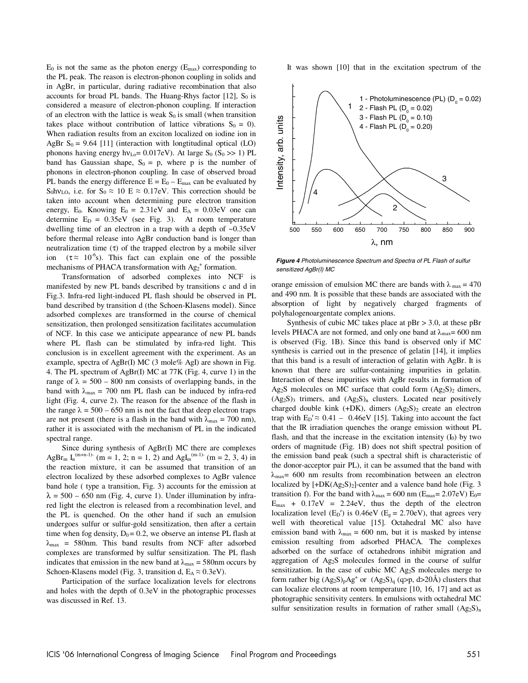$E_0$  is not the same as the photon energy ( $E_{\text{max}}$ ) corresponding to the PL peak. The reason is electron-phonon coupling in solids and in AgBr, in particular, during radiative recombination that also accounts for broad PL bands. The Huang-Rhys factor  $[12]$ , S<sub>0</sub> is considered a measure of electron-phonon coupling. If interaction of an electron with the lattice is weak  $S_0$  is small (when transition takes place without contribution of lattice vibrations  $S_0 = 0$ ). When radiation results from an exciton localized on iodine ion in AgBr  $S_0 = 9.64$  [11] (interaction with longtitudinal optical (LO) phonons having energy hv<sub>Lo</sub>=  $0.017$ eV). At large S<sub>0</sub> (S<sub>0</sub> >> 1) PL band has Gaussian shape,  $S_0 = p$ , where p is the number of phonons in electron-phonon coupling. In case of observed broad PL bands the energy difference  $E = E_0 - E_{max}$  can be evaluated by S<sub>0</sub>hv<sub>LO</sub>, i.e. for S<sub>0</sub>  $\approx$  10 E  $\approx$  0.17eV. This correction should be taken into account when determining pure electron transition energy,  $E_0$ . Knowing  $E_0 = 2.31$ eV and  $E_A = 0.03$ eV one can determine  $E_D = 0.35eV$  (see Fig. 3). At room temperature dwelling time of an electron in a trap with a depth of ~0.35eV before thermal release into AgBr conduction band is longer than neutralization time  $(τ)$  of the trapped electron by a mobile silver ion ( $\tau \approx 10^{-6}$ s). This fact can explain one of the possible mechanisms of PHACA transformation with  $Ag_2^+$  formation.

Transformation of adsorbed complexes into NCF is manifested by new PL bands described by transitions c and d in Fig.3. Infra-red light-induced PL flash should be observed in PL band described by transition d (the Schoen-Klasens model). Since adsorbed complexes are transformed in the course of chemical sensitization, then prolonged sensitization facilitates accumulation of NCF. In this case we anticipate appearance of new PL bands where PL flash can be stimulated by infra-red light. This conclusion is in excellent agreement with the experiment. As an example, spectra of AgBr(I) MC (3 mole% AgI) are shown in Fig. 4. The PL spectrum of AgBr(I) MC at 77K (Fig. 4, curve 1) in the range of  $\lambda = 500 - 800$  nm consists of overlapping bands, in the band with  $\lambda_{\text{max}} = 700$  nm PL flash can be induced by infra-red light (Fig. 4, curve 2). The reason for the absence of the flash in the range  $\lambda = 500 - 650$  nm is not the fact that deep electron traps are not present (there is a flash in the band with  $\lambda_{\text{max}} = 700 \text{ nm}$ ), rather it is associated with the mechanism of PL in the indicated spectral range.

Since during synthesis of AgBr(I) MC there are complexes AgBr<sub>m</sub> I<sub>n</sub><sup>(m+n-1)-</sup> (m = 1, 2; n = 1, 2) and AgI<sub>m</sub><sup>(m-1)-</sup> (m = 2, 3, 4) in the reaction mixture, it can be assumed that transition of an electron localized by these adsorbed complexes to AgBr valence band hole ( type a transition, Fig. 3) accounts for the emission at  $\lambda = 500 - 650$  nm (Fig. 4, curve 1). Under illumination by infrared light the electron is released from a recombination level, and the PL is quenched. On the other hand if such an emulsion undergoes sulfur or sulfur-gold sensitization, then after a certain time when fog density,  $D_0 = 0.2$ , we observe an intense PL flash at  $\lambda_{\text{max}}$  = 580nm. This band results from NCF after adsorbed complexes are transformed by sulfur sensitization. The PL flash indicates that emission in the new band at  $\lambda_{\text{max}} = 580$ nm occurs by Schoen-Klasens model (Fig. 3, transition d,  $E_A \approx 0.3$ eV).

Participation of the surface localization levels for electrons and holes with the depth of 0.3eV in the photographic processes was discussed in Ref. 13.

It was shown [10] that in the excitation spectrum of the



*Figure 4 Photoluminescence Spectrum and Spectra of PL Flash of sulfur sensitized AgBr(I) MC* 

orange emission of emulsion MC there are bands with  $\lambda_{\text{max}} = 470$ and 490 nm. It is possible that these bands are associated with the absorption of light by negatively charged fragments of polyhalogenoargentate complex anions.

Synthesis of cubic MC takes place at  $pBr > 3.0$ , at these  $pBr$ levels PHACA are not formed, and only one band at  $\lambda_{\text{max}}$  = 600 nm is observed (Fig. 1B). Since this band is observed only if MC synthesis is carried out in the presence of gelatin [14], it implies that this band is a result of interaction of gelatin with AgBr. It is known that there are sulfur-containing impurities in gelatin. Interaction of these impurities with AgBr results in formation of Ag<sub>2</sub>S molecules on MC surface that could form  $(Ag_2S)_2$  dimers,  $(Ag_2S)_3$  trimers, and  $(Ag_2S)_n$  clusters. Located near positively charged double kink (+DK), dimers (Ag<sub>2</sub>S)<sub>2</sub> create an electron trap with  $E_D' \approx 0.41 - 0.46$ eV [15]. Taking into account the fact that the IR irradiation quenches the orange emission without PL flash, and that the increase in the excitation intensity  $(I_0)$  by two orders of magnitude (Fig. 1B) does not shift spectral position of the emission band peak (such a spectral shift is characteristic of the donor-acceptor pair PL), it can be assumed that the band with  $\lambda_{\text{max}}$  = 600 nm results from recombination between an electron localized by  $[+DK(Ag<sub>2</sub>S)<sub>2</sub>]$ -center and a valence band hole (Fig. 3) transition f). For the band with  $\lambda_{\text{max}} = 600 \text{ nm}$  (E<sub>max</sub>= 2.07eV) E<sub>0</sub>=  $E_{\text{max}}$  + 0.17eV = 2.24eV, thus the depth of the electron localization level  $(E_D')$  is 0.46eV  $(E_g = 2.70$ eV), that agrees very well with theoretical value [15]. Octahedral MC also have emission band with  $\lambda_{\text{max}} = 600$  nm, but it is masked by intense emission resulting from adsorbed PHACA. The complexes adsorbed on the surface of octahedrons inhibit migration and aggregation of Ag2S molecules formed in the course of sulfur sensitization. In the case of cubic MC Ag2S molecules merge to form rather big  $(Ag_2S)_pAg^+$  or  $(Ag_2S)_q$  (q>p, d>20Å) clusters that can localize electrons at room temperature [10, 16, 17] and act as photographic sensitivity centers. In emulsions with octahedral MC sulfur sensitization results in formation of rather small  $(Ag_2S)_n$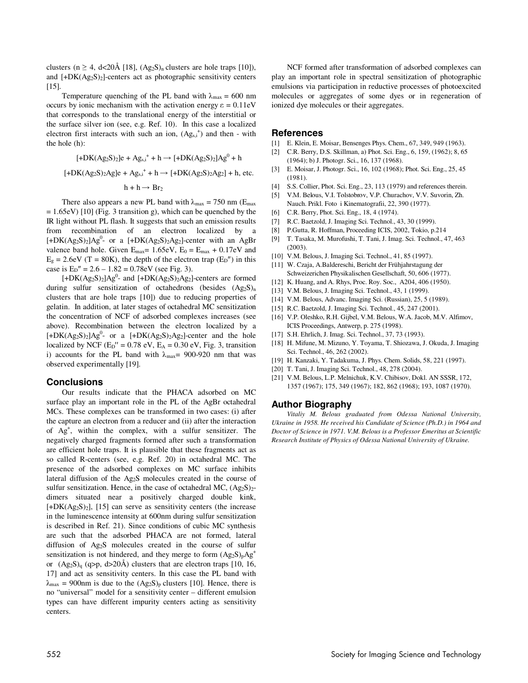clusters (n  $\geq$  4, d<20Å [18], (Ag<sub>2</sub>S)<sub>n</sub> clusters are hole traps [10]), and  $[+DK(Ag_2S)_2]$ -centers act as photographic sensitivity centers [15].

Temperature quenching of the PL band with  $\lambda_{\text{max}} = 600 \text{ nm}$ occurs by ionic mechanism with the activation energy  $\varepsilon = 0.11$ eV that corresponds to the translational energy of the interstitial or the surface silver ion (see, e.g. Ref. 10). In this case a localized electron first interacts with such an ion,  $(Ag_{s,i}^+)$  and then - with the hole (h):

$$
[+DK(Ag_2S)_2]e + Ag_{s,i}^+ + h \rightarrow [+DK(Ag_2S)_2]Ag^0 + h
$$

$$
[+DK(Ag_2S)_2Ag]e + Ag_{s,i}^+ + h \rightarrow [+DK(Ag_2S)_2Ag_2] + h, etc.
$$

$$
h + h \rightarrow Br_2
$$

There also appears a new PL band with  $\lambda_{\text{max}} = 750 \text{ nm}$  (E<sub>max</sub>)  $= 1.65$ eV) [10] (Fig. 3 transition g), which can be quenched by the IR light without PL flash. It suggests that such an emission results from recombination of an electron localized by a  $[+DK(Ag<sub>2</sub>S)<sub>2</sub>]Ag<sup>0</sup>$ - or a  $[+DK(Ag<sub>2</sub>S)<sub>2</sub>Ag<sub>2</sub>]$ -center with an AgBr valence band hole. Given  $E_{max} = 1.65eV$ ,  $E_0 = E_{max} + 0.17eV$  and  $E_g = 2.6$ eV (T = 80K), the depth of the electron trap ( $E_D$ <sup>"</sup>) in this case is  $E_D'' = 2.6 - 1.82 = 0.78$ eV (see Fig. 3).

 $[+DK(Ag_2S)_2]Ag^0$ - and  $[+DK(Ag_2S)_2Ag_2]$ -centers are formed during sulfur sensitization of octahedrons (besides  $(Ag_2S)_n$ clusters that are hole traps [10]) due to reducing properties of gelatin. In addition, at later stages of octahedral MC sensitization the concentration of NCF of adsorbed complexes increases (see above). Recombination between the electron localized by a  $[+DK(Ag_2S)_2]Ag^0$ - or a  $[+DK(Ag_2S)_2Ag_2]$ -center and the hole localized by NCF ( $E_D$ <sup>"</sup> = 0.78 eV,  $E_A$  = 0.30 eV, Fig. 3, transition i) accounts for the PL band with  $\lambda_{\text{max}}$  = 900-920 nm that was observed experimentally [19].

#### **Conclusions**

Our results indicate that the PHACA adsorbed on MC surface play an important role in the PL of the AgBr octahedral MCs. These complexes can be transformed in two cases: (i) after the capture an electron from a reducer and (ii) after the interaction of Ag+ , within the complex, with a sulfur sensitizer. The negatively charged fragments formed after such a transformation are efficient hole traps. It is plausible that these fragments act as so called R-centers (see, e.g. Ref. 20) in octahedral MC. The presence of the adsorbed complexes on MC surface inhibits lateral diffusion of the Ag2S molecules created in the course of sulfur sensitization. Hence, in the case of octahedral MC,  $(Ag_2S)_{2}$ dimers situated near a positively charged double kink,  $[+DK(Ag<sub>2</sub>S)<sub>2</sub>]$ , [15] can serve as sensitivity centers (the increase in the luminescence intensity at 600nm during sulfur sensitization is described in Ref. 21). Since conditions of cubic MC synthesis are such that the adsorbed PHACA are not formed, lateral diffusion of Ag2S molecules created in the course of sulfur sensitization is not hindered, and they merge to form  $(Ag_2S)_pAg^+$ or  $(Ag_2S)_q$  (q>p, d>20Å) clusters that are electron traps [10, 16, 17] and act as sensitivity centers. In this case the PL band with  $\lambda_{\text{max}} = 900$ nm is due to the  $(Ag_2S)_p$  clusters [10]. Hence, there is no "universal" model for a sensitivity center – different emulsion types can have different impurity centers acting as sensitivity centers.

NCF formed after transformation of adsorbed complexes can play an important role in spectral sensitization of photographic emulsions via participation in reductive processes of photoexcited molecules or aggregates of some dyes or in regeneration of ionized dye molecules or their aggregates.

#### **References**

- [1] E. Klein, E. Moisar, Bensenges Phys. Chem., 67, 349, 949 (1963).
- [2] C.R. Berry, D.S. Skillman, a) Phot. Sci. Eng., 6, 159, (1962); 8, 65 (1964); b) J. Photogr. Sci., 16, 137 (1968).
- [3] E. Moisar, J. Photogr. Sci., 16, 102 (1968); Phot. Sci. Eng., 25, 45 (1981).
- [4] S.S. Collier, Phot. Sci. Eng., 23, 113 (1979) and references therein.
- [5] V.M. Belous, V.I. Tolstobrov, V.P. Churachov, V.V. Suvorin, Zh.
- Nauch. Prikl. Foto i Kinematografii, 22, 390 (1977). [6] C.R. Berry, Phot. Sci. Eng., 18, 4 (1974).
- [7] R.C. Baetzold, J. Imaging Sci. Technol., 43, 30 (1999).
- [8] P.Gutta, R. Hoffman, Proceeding ICIS, 2002, Tokio, p.214
- [9] T. Tasaka, M. Murofushi, T. Tani, J. Imag. Sci. Technol., 47, 463 (2003).
- [10] V.M. Belous, J. Imaging Sci. Technol., 41, 85 (1997).
- [11] W. Czaja, A.Baldereschi, Bericht der Frühjahrstagung der Schweizerichen Physikalischen Gesellschaft, 50, 606 (1977).
- [12] K. Huang, and A. Rhys, Proc. Roy. Soc., A204, 406 (1950).
- [13] V.M. Belous, J. Imaging Sci. Technol., 43, 1 (1999).
- [14] V.M. Belous, Advanc. Imaging Sci. (Russian), 25, 5 (1989).
- [15] R.C. Baetzold, J. Imaging Sci. Technol., 45, 247 (2001).
- [16] V.P. Oleshko, R.H. Gijbel, V.M. Belous, W.A. Jacob, M.V. Alfimov, ICIS Proceedings, Antwerp, p. 275 (1998).
- [17] S.H. Ehrlich, J. Imag. Sci. Technol., 37, 73 (1993).
- [18] H. Mifune, M. Mizuno, Y. Toyama, T. Shiozawa, J. Okuda, J. Imaging Sci. Technol., 46, 262 (2002).
- [19] H. Kanzaki, Y. Tadakuma, J. Phys. Chem. Solids, 58, 221 (1997).
- [20] T. Tani, J. Imaging Sci. Technol., 48, 278 (2004).
- [21] V.M. Belous, L.P. Melnichuk, K.V. Chibisov, Dokl. AN SSSR, 172, 1357 (1967); 175, 349 (1967); 182, 862 (1968); 193, 1087 (1970).

### **Author Biography**

*Vitaliy M. Belous graduated from Odessa National University, Ukraine in 1958. He received his Candidate of Science (Ph.D.) in 1964 and Doctor of Science in 1971. V.M. Belous is a Professor Emeritus at Scientific Research Institute of Physics of Odessa National University of Ukraine.*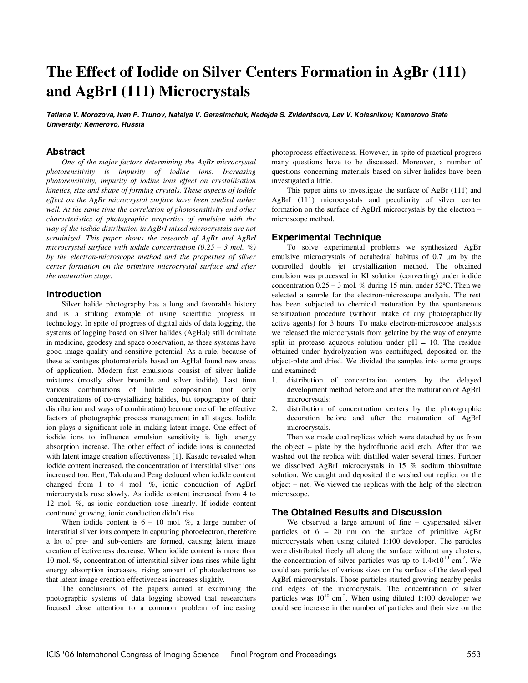# **The Effect of Iodide on Silver Centers Formation in AgBr (111) and AgBrI (111) Microcrystals**

**Tatiana V. Morozova, Ivan P. Trunov, Natalya V. Gerasimchuk, Nadejda S. Zvidentsova, Lev V. Kolesnikov; Kemerovo State University; Kemerovo, Russia**

### **Abstract**

*One of the major factors determining the AgBr microcrystal photosensitivity is impurity of iodine ions. Increasing photosensitivity, impurity of iodine ions effect on crystallization kinetics, size and shape of forming crystals. These aspects of iodide effect on the AgBr microcrystal surface have been studied rather well. At the same time the correlation of photosensitivity and other characteristics of photographic properties of emulsion with the way of the iodide distribution in AgBrI mixed microcrystals are not scrutinized. This paper shows the research of AgBr and AgBrI microcrystal surface with iodide concentration (0.25 – 3 mol. %) by the electron-microscope method and the properties of silver center formation on the primitive microcrystal surface and after the maturation stage.* 

### **Introduction**

Silver halide photography has a long and favorable history and is a striking example of using scientific progress in technology. In spite of progress of digital aids of data logging, the systems of logging based on silver halides (AgHal) still dominate in medicine, geodesy and space observation, as these systems have good image quality and sensitive potential. As a rule, because of these advantages photomaterials based on AgHal found new areas of application. Modern fast emulsions consist of silver halide mixtures (mostly silver bromide and silver iodide). Last time various combinations of halide composition (not only concentrations of co-crystallizing halides, but topography of their distribution and ways of combination) become one of the effective factors of photographic process management in all stages. Iodide ion plays a significant role in making latent image. One effect of iodide ions to influence emulsion sensitivity is light energy absorption increase. The other effect of iodide ions is connected with latent image creation effectiveness [1]. Kasado revealed when iodide content increased, the concentration of interstitial silver ions increased too. Bert, Takada and Peng deduced when iodide content changed from 1 to 4 mol. %, ionic conduction of AgBrI microcrystals rose slowly. As iodide content increased from 4 to 12 mol. %, as ionic conduction rose linearly. If iodide content continued growing, ionic conduction didn't rise.

When iodide content is  $6 - 10$  mol. %, a large number of interstitial silver ions compete in capturing photoelectron, therefore a lot of pre- and sub-centers are formed, causing latent image creation effectiveness decrease. When iodide content is more than 10 mol. %, concentration of interstitial silver ions rises while light energy absorption increases, rising amount of photoelectrons so that latent image creation effectiveness increases slightly.

The conclusions of the papers aimed at examining the photographic systems of data logging showed that researchers focused close attention to a common problem of increasing photoprocess effectiveness. However, in spite of practical progress many questions have to be discussed. Moreover, a number of questions concerning materials based on silver halides have been investigated a little.

This paper aims to investigate the surface of AgBr (111) and AgBrI (111) microcrystals and peculiarity of silver center formation on the surface of AgBrI microcrystals by the electron – microscope method.

## **Experimental Technique**

To solve experimental problems we synthesized AgBr emulsive microcrystals of octahedral habitus of 0.7 *µ*m by the controlled double jet crystallization method. The obtained emulsion was processed in KI solution (converting) under iodide concentration  $0.25 - 3$  mol. % during 15 min. under 52°C. Then we selected a sample for the electron-microscope analysis. The rest has been subjected to chemical maturation by the spontaneous sensitization procedure (without intake of any photographically active agents) for 3 hours. To make electron-microscope analysis we released the microcrystals from gelatine by the way of enzyme split in protease aqueous solution under  $pH = 10$ . The residue obtained under hydrolyzation was centrifuged, deposited on the object-plate and dried. We divided the samples into some groups and examined:

- 1. distribution of concentration centers by the delayed development method before and after the maturation of AgBrI microcrystals;
- 2. distribution of concentration centers by the photographic decoration before and after the maturation of AgBrI microcrystals.

Then we made coal replicas which were detached by us from the object – plate by the hydrofluoric acid etch. After that we washed out the replica with distilled water several times. Further we dissolved AgBrI microcrystals in 15 % sodium thiosulfate solution. We caught and deposited the washed out replica on the object – net. We viewed the replicas with the help of the electron microscope.

#### **The Obtained Results and Discussion**

We observed a large amount of fine – dyspersated silver particles of 6 – 20 nm on the surface of primitive AgBr microcrystals when using diluted 1:100 developer. The particles were distributed freely all along the surface without any clusters; the concentration of silver particles was up to  $1.4 \times 10^{10}$  cm<sup>-2</sup>. We could see particles of various sizes on the surface of the developed AgBrI microcrystals. Those particles started growing nearby peaks and edges of the microcrystals. The concentration of silver particles was  $10^{10}$  cm<sup>-2</sup>. When using diluted 1:100 developer we could see increase in the number of particles and their size on the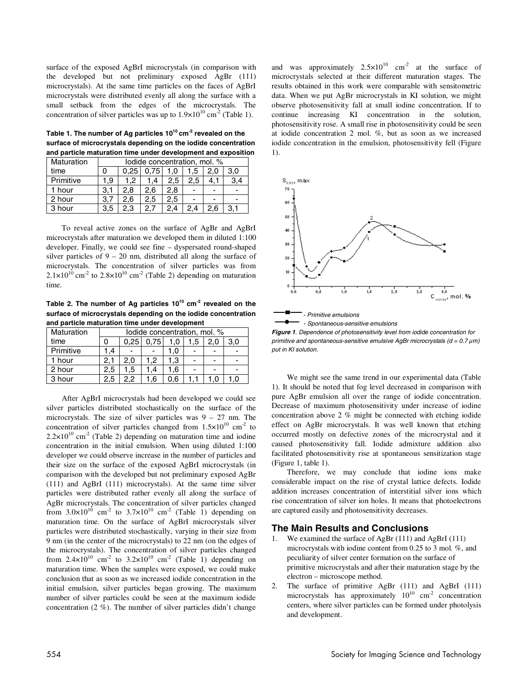surface of the exposed AgBrI microcrystals (in comparison with the developed but not preliminary exposed AgBr (111) microcrystals). At the same time particles on the faces of AgBrI microcrystals were distributed evenly all along the surface with a small setback from the edges of the microcrystals. The concentration of silver particles was up to  $1.9 \times 10^{10}$  cm<sup>-2</sup> (Table 1).

Table 1. The number of Ag particles 10<sup>10</sup> cm<sup>-2</sup> revealed on the **surface of microcrystals depending on the iodide concentration and particle maturation time under development and exposition** 

| Maturation | lodide concentration, mol. % |      |      |     |     |     |     |  |  |  |
|------------|------------------------------|------|------|-----|-----|-----|-----|--|--|--|
| time       |                              | 0.25 | 0.75 | 1.0 | 1.5 | 2.0 | 3.0 |  |  |  |
| Primitive  | 1.9                          | 1.2  | 1.4  | 2.5 | 2.5 |     | 3.4 |  |  |  |
| 1 hour     | 3.1                          | 2.8  | 2.6  | 2.8 |     |     |     |  |  |  |
| 2 hour     | 3.7                          | 2.6  | 2.5  | 2.5 | -   |     |     |  |  |  |
| 3 hour     | 3.5                          | 2.3  | 2.7  | 2,4 | 2.4 | 2.6 | 3.1 |  |  |  |

To reveal active zones on the surface of AgBr and AgBrI microcrystals after maturation we developed them in diluted 1:100 developer. Finally, we could see fine – dyspersated round-shaped silver particles of 9 – 20 nm, distributed all along the surface of microcrystals. The concentration of silver particles was from  $2.1\times10^{10}$  cm<sup>-2</sup> to  $2.8\times10^{10}$  cm<sup>-2</sup> (Table 2) depending on maturation time.

Table 2. The number of Ag particles 10<sup>10</sup> cm<sup>-2</sup> revealed on the **surface of microcrystals depending on the iodide concentration and particle maturation time under development**

| Maturation | lodide concentration, mol. % |      |      |     |     |  |     |  |  |
|------------|------------------------------|------|------|-----|-----|--|-----|--|--|
| time       |                              | 0.25 | 0.75 | 1.0 | 1.5 |  | 3.0 |  |  |
| Primitive  | 1.4                          |      |      | 1.0 |     |  | -   |  |  |
| 1 hour     | 2.1                          | 2.0  | 1.2  | 1.3 |     |  | -   |  |  |
| 2 hour     | 2,5                          | 1.5  | .4   | 1.6 |     |  |     |  |  |
| 3 hour     | 2.5                          |      | 1.6  | 0.6 |     |  |     |  |  |

After AgBrI microcrystals had been developed we could see silver particles distributed stochastically on the surface of the microcrystals. The size of silver particles was  $9 - 27$  nm. The concentration of silver particles changed from  $1.5 \times 10^{10}$  cm<sup>-2</sup> to  $2.2 \times 10^{10}$  cm<sup>-2</sup> (Table 2) depending on maturation time and iodine concentration in the initial emulsion. When using diluted 1:100 developer we could observe increase in the number of particles and their size on the surface of the exposed AgBrI microcrystals (in comparison with the developed but not preliminary exposed AgBr (111) and AgBrI (111) microcrystals). At the same time silver particles were distributed rather evenly all along the surface of AgBr microcrystals. The concentration of silver particles changed from  $3.0\times10^{10}$  cm<sup>-2</sup> to  $3.7\times10^{10}$  cm<sup>-2</sup> (Table 1) depending on maturation time. On the surface of AgBrI microcrystals silver particles were distributed stochastically, varying in their size from 9 nm (in the center of the microcrystals) to 22 nm (on the edges of the microcrystals). The concentration of silver particles changed from  $2.4 \times 10^{10}$  cm<sup>-2</sup> to  $3.2 \times 10^{10}$  cm<sup>-2</sup> (Table 1) depending on maturation time. When the samples were exposed, we could make conclusion that as soon as we increased iodide concentration in the initial emulsion, silver particles began growing. The maximum number of silver particles could be seen at the maximum iodide concentration (2 %). The number of silver particles didn't change and was approximately  $2.5 \times 10^{10}$  cm<sup>-2</sup> at the surface of microcrystals selected at their different maturation stages. The results obtained in this work were comparable with sensitometric data. When we put AgBr microcrystals in KI solution, we might observe photosensitivity fall at small iodine concentration. If to continue increasing KI concentration in the solution, photosensitivity rose. A small rise in photosensitivity could be seen at iodide concentration 2 mol. %, but as soon as we increased iodide concentration in the emulsion, photosensitivity fell (Figure 1).



**Figure 1**. Dependence of photosensitivity level from iodide concentration for primitive and spontaneous-sensitive emulsive AgBr microcrystals (d = 0.7 *µ*m) put in KI solution.

We might see the same trend in our experimental data (Table 1). It should be noted that fog level decreased in comparison with pure AgBr emulsion all over the range of iodide concentration. Decrease of maximum photosensitivity under increase of iodine concentration above 2 % might be connected with etching iodide effect on AgBr microcrystals. It was well known that etching occurred mostly on defective zones of the microcrystal and it caused photosensitivity fall. Iodide admixture addition also facilitated photosensitivity rise at spontaneous sensitization stage (Figure 1, table 1).

Therefore, we may conclude that iodine ions make considerable impact on the rise of crystal lattice defects. Iodide addition increases concentration of interstitial silver ions which rise concentration of silver ion holes. It means that photoelectrons are captured easily and photosensitivity decreases.

## **The Main Results and Conclusions**

- 1. We examined the surface of AgBr (111) and AgBrI (111) microcrystals with iodine content from 0.25 to 3 mol. %, and peculiarity of silver center formation on the surface of primitive microcrystals and after their maturation stage by the electron – microscope method.
- 2. The surface of primitive AgBr (111) and AgBrI (111) microcrystals has approximately  $10^{10}$  cm<sup>-2</sup> concentration centers, where silver particles can be formed under photolysis and development.